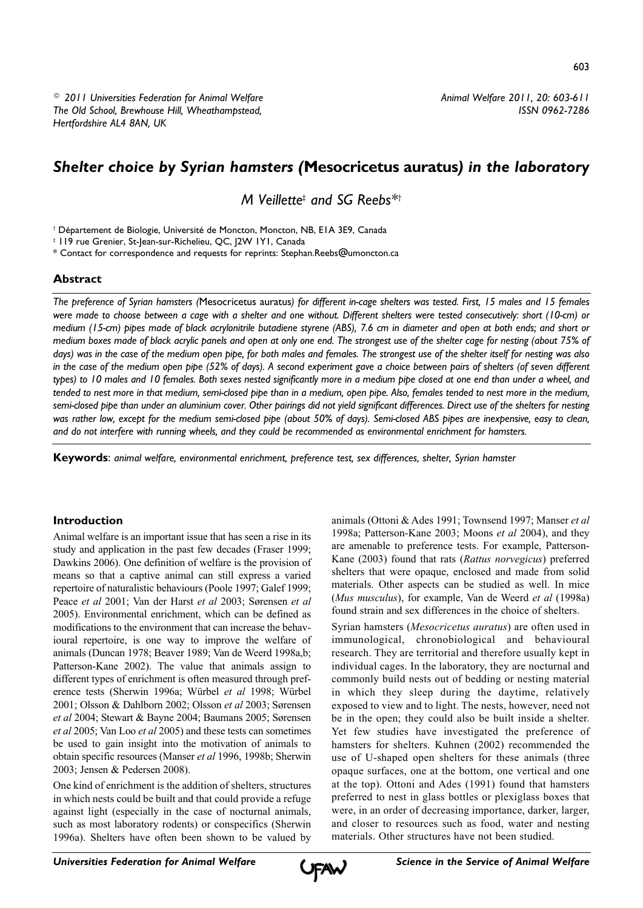*Animal Welfare 2011, 20: 603-611 ISSN 0962-7286*

# *Shelter choice by Syrian hamsters (***Mesocricetus auratus***) in the laboratory*

*M Veillette‡ and SG Reebs\*†*

† Département de Biologie, Université de Moncton, Moncton, NB, E1A 3E9, Canada

‡ 119 rue Grenier, St-Jean-sur-Richelieu, QC, J2W 1Y1, Canada

\* Contact for correspondence and requests for reprints: Stephan.Reebs@umoncton.ca

#### **Abstract**

*The preference of Syrian hamsters (*Mesocricetus auratus*) for different in-cage shelters was tested. First, 15 males and 15 females were made to choose between a cage with a shelter and one without. Different shelters were tested consecutively: short (10-cm) or medium (15-cm) pipes made of black acrylonitrile butadiene styrene (ABS), 7.6 cm in diameter and open at both ends; and short or medium boxes made of black acrylic panels and open at only one end. The strongest use of the shelter cage for nesting (about 75% of days) was in the case of the medium open pipe, for both males and females. The strongest use of the shelter itself for nesting was also in the case of the medium open pipe (52% of days). A second experiment gave a choice between pairs of shelters (of seven different types) to 10 males and 10 females. Both sexes nested significantly more in a medium pipe closed at one end than under a wheel, and tended to nest more in that medium, semi-closed pipe than in a medium, open pipe. Also, females tended to nest more in the medium, semi-closed pipe than under an aluminium cover. Other pairings did not yield significant differences. Direct use of the shelters for nesting was rather low, except for the medium semi-closed pipe (about 50% of days). Semi-closed ABS pipes are inexpensive, easy to clean, and do not interfere with running wheels, and they could be recommended as environmental enrichment for hamsters.*

**Keywords**: *animal welfare, environmental enrichment, preference test, sex differences, shelter, Syrian hamster*

# **Introduction**

Animal welfare is an important issue that has seen a rise in its study and application in the past few decades (Fraser 1999; Dawkins 2006). One definition of welfare is the provision of means so that a captive animal can still express a varied repertoire of naturalistic behaviours (Poole 1997; Galef 1999; Peace *et al* 2001; Van der Harst *et al* 2003; Sørensen *et al* 2005). Environmental enrichment, which can be defined as modifications to the environment that can increase the behavioural repertoire, is one way to improve the welfare of animals (Duncan 1978; Beaver 1989; Van de Weerd 1998a,b; Patterson-Kane 2002). The value that animals assign to different types of enrichment is often measured through preference tests (Sherwin 1996a; Würbel *et al* 1998; Würbel 2001; Olsson & Dahlborn 2002; Olsson *et al* 2003; Sørensen *et al* 2004; Stewart & Bayne 2004; Baumans 2005; Sørensen *et al* 2005; Van Loo *et al* 2005) and these tests can sometimes be used to gain insight into the motivation of animals to obtain specific resources (Manser *et al* 1996, 1998b; Sherwin 2003; Jensen & Pedersen 2008).

One kind of enrichment is the addition of shelters, structures in which nests could be built and that could provide a refuge against light (especially in the case of nocturnal animals, such as most laboratory rodents) or conspecifics (Sherwin 1996a). Shelters have often been shown to be valued by

animals (Ottoni & Ades 1991; Townsend 1997; Manser *et al* 1998a; Patterson-Kane 2003; Moons *et al* 2004), and they are amenable to preference tests. For example, Patterson-Kane (2003) found that rats (*Rattus norvegicus*) preferred shelters that were opaque, enclosed and made from solid materials. Other aspects can be studied as well. In mice (*Mus musculus*), for example, Van de Weerd *et al* (1998a) found strain and sex differences in the choice of shelters.

Syrian hamsters (*Mesocricetus auratus*) are often used in immunological, chronobiological and behavioural research. They are territorial and therefore usually kept in individual cages. In the laboratory, they are nocturnal and commonly build nests out of bedding or nesting material in which they sleep during the daytime, relatively exposed to view and to light. The nests, however, need not be in the open; they could also be built inside a shelter. Yet few studies have investigated the preference of hamsters for shelters. Kuhnen (2002) recommended the use of U-shaped open shelters for these animals (three opaque surfaces, one at the bottom, one vertical and one at the top). Ottoni and Ades (1991) found that hamsters preferred to nest in glass bottles or plexiglass boxes that were, in an order of decreasing importance, darker, larger, and closer to resources such as food, water and nesting materials. Other structures have not been studied.

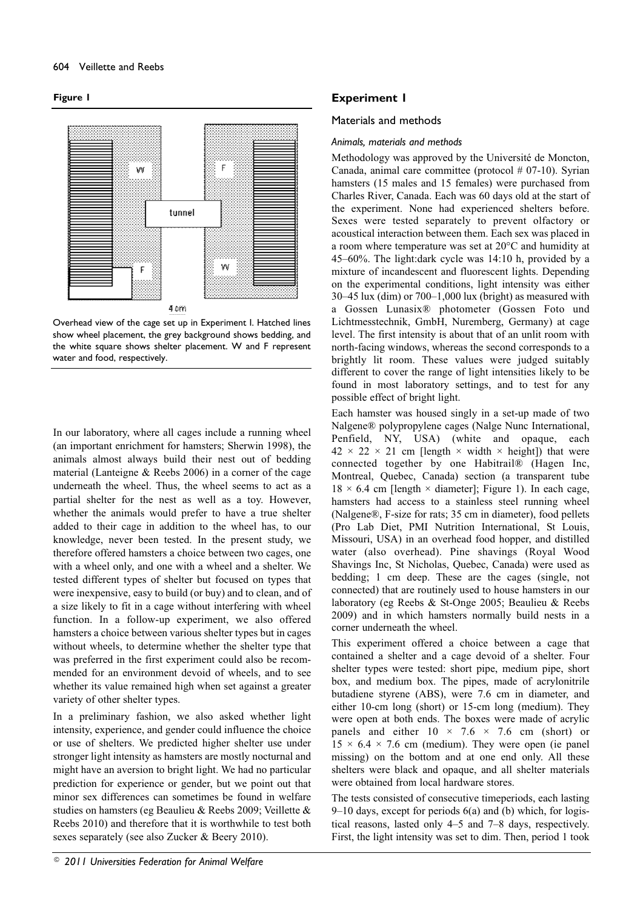#### **Figure 1**



Overhead view of the cage set up in Experiment I. Hatched lines show wheel placement, the grey background shows bedding, and the white square shows shelter placement. W and F represent water and food, respectively.

In our laboratory, where all cages include a running wheel (an important enrichment for hamsters; Sherwin 1998), the animals almost always build their nest out of bedding material (Lanteigne & Reebs 2006) in a corner of the cage underneath the wheel. Thus, the wheel seems to act as a partial shelter for the nest as well as a toy. However, whether the animals would prefer to have a true shelter added to their cage in addition to the wheel has, to our knowledge, never been tested. In the present study, we therefore offered hamsters a choice between two cages, one with a wheel only, and one with a wheel and a shelter. We tested different types of shelter but focused on types that were inexpensive, easy to build (or buy) and to clean, and of a size likely to fit in a cage without interfering with wheel function. In a follow-up experiment, we also offered hamsters a choice between various shelter types but in cages without wheels, to determine whether the shelter type that was preferred in the first experiment could also be recommended for an environment devoid of wheels, and to see whether its value remained high when set against a greater variety of other shelter types.

In a preliminary fashion, we also asked whether light intensity, experience, and gender could influence the choice or use of shelters. We predicted higher shelter use under stronger light intensity as hamsters are mostly nocturnal and might have an aversion to bright light. We had no particular prediction for experience or gender, but we point out that minor sex differences can sometimes be found in welfare studies on hamsters (eg Beaulieu & Reebs 2009; Veillette & Reebs 2010) and therefore that it is worthwhile to test both sexes separately (see also Zucker & Beery 2010).

# **Experiment 1**

#### Materials and methods

#### *Animals, materials and methods*

Methodology was approved by the Université de Moncton, Canada, animal care committee (protocol # 07-10). Syrian hamsters (15 males and 15 females) were purchased from Charles River, Canada. Each was 60 days old at the start of the experiment. None had experienced shelters before. Sexes were tested separately to prevent olfactory or acoustical interaction between them. Each sex was placed in a room where temperature was set at 20°C and humidity at 45–60%. The light:dark cycle was 14:10 h, provided by a mixture of incandescent and fluorescent lights. Depending on the experimental conditions, light intensity was either 30–45 lux (dim) or 700–1,000 lux (bright) as measured with a Gossen Lunasix® photometer (Gossen Foto und Lichtmesstechnik, GmbH, Nuremberg, Germany) at cage level. The first intensity is about that of an unlit room with north-facing windows, whereas the second corresponds to a brightly lit room. These values were judged suitably different to cover the range of light intensities likely to be found in most laboratory settings, and to test for any possible effect of bright light.

Each hamster was housed singly in a set-up made of two Nalgene® polypropylene cages (Nalge Nunc International, Penfield, NY, USA) (white and opaque, each  $42 \times 22 \times 21$  cm [length  $\times$  width  $\times$  height]) that were connected together by one Habitrail® (Hagen Inc, Montreal, Quebec, Canada) section (a transparent tube  $18 \times 6.4$  cm [length  $\times$  diameter]; Figure 1). In each cage, hamsters had access to a stainless steel running wheel (Nalgene®, F-size for rats; 35 cm in diameter), food pellets (Pro Lab Diet, PMI Nutrition International, St Louis, Missouri, USA) in an overhead food hopper, and distilled water (also overhead). Pine shavings (Royal Wood Shavings Inc, St Nicholas, Quebec, Canada) were used as bedding; 1 cm deep. These are the cages (single, not connected) that are routinely used to house hamsters in our laboratory (eg Reebs & St-Onge 2005; Beaulieu & Reebs 2009) and in which hamsters normally build nests in a corner underneath the wheel.

This experiment offered a choice between a cage that contained a shelter and a cage devoid of a shelter. Four shelter types were tested: short pipe, medium pipe, short box, and medium box. The pipes, made of acrylonitrile butadiene styrene (ABS), were 7.6 cm in diameter, and either 10-cm long (short) or 15-cm long (medium). They were open at both ends. The boxes were made of acrylic panels and either  $10 \times 7.6 \times 7.6$  cm (short) or  $15 \times 6.4 \times 7.6$  cm (medium). They were open (ie panel missing) on the bottom and at one end only. All these shelters were black and opaque, and all shelter materials were obtained from local hardware stores.

The tests consisted of consecutive timeperiods, each lasting 9–10 days, except for periods 6(a) and (b) which, for logistical reasons, lasted only 4–5 and 7–8 days, respectively. First, the light intensity was set to dim. Then, period 1 took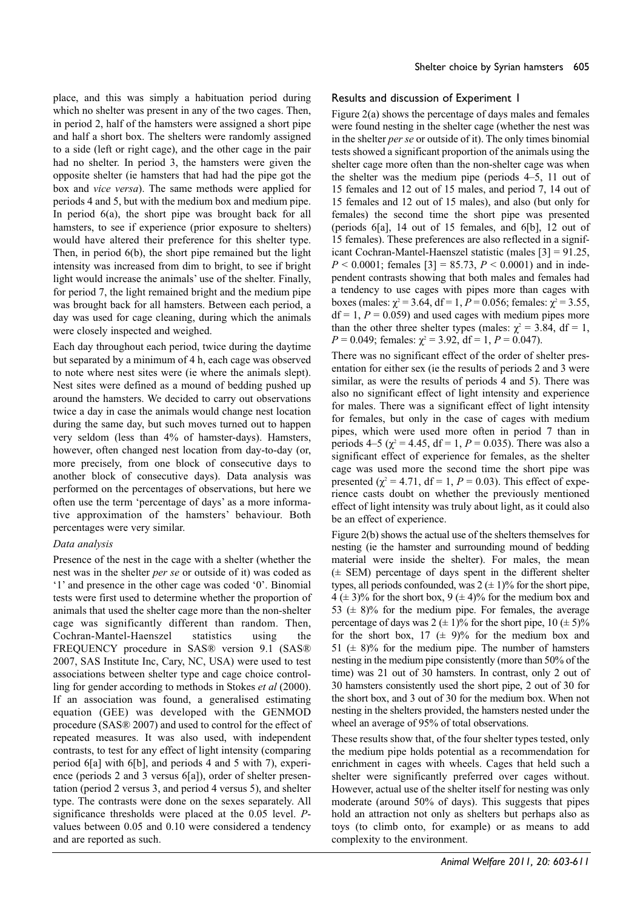place, and this was simply a habituation period during which no shelter was present in any of the two cages. Then, in period 2, half of the hamsters were assigned a short pipe and half a short box. The shelters were randomly assigned to a side (left or right cage), and the other cage in the pair had no shelter. In period 3, the hamsters were given the opposite shelter (ie hamsters that had had the pipe got the box and *vice versa*). The same methods were applied for periods 4 and 5, but with the medium box and medium pipe. In period 6(a), the short pipe was brought back for all hamsters, to see if experience (prior exposure to shelters) would have altered their preference for this shelter type. Then, in period 6(b), the short pipe remained but the light intensity was increased from dim to bright, to see if bright light would increase the animals' use of the shelter. Finally, for period 7, the light remained bright and the medium pipe was brought back for all hamsters. Between each period, a day was used for cage cleaning, during which the animals were closely inspected and weighed.

Each day throughout each period, twice during the daytime but separated by a minimum of 4 h, each cage was observed to note where nest sites were (ie where the animals slept). Nest sites were defined as a mound of bedding pushed up around the hamsters. We decided to carry out observations twice a day in case the animals would change nest location during the same day, but such moves turned out to happen very seldom (less than 4% of hamster-days). Hamsters, however, often changed nest location from day-to-day (or, more precisely, from one block of consecutive days to another block of consecutive days). Data analysis was performed on the percentages of observations, but here we often use the term 'percentage of days' as a more informative approximation of the hamsters' behaviour. Both percentages were very similar.

Presence of the nest in the cage with a shelter (whether the nest was in the shelter *per se* or outside of it) was coded as '1' and presence in the other cage was coded '0'. Binomial tests were first used to determine whether the proportion of animals that used the shelter cage more than the non-shelter cage was significantly different than random. Then, Cochran-Mantel-Haenszel statistics using the FREQUENCY procedure in SAS® version 9.1 (SAS® 2007, SAS Institute Inc, Cary, NC, USA) were used to test associations between shelter type and cage choice controlling for gender according to methods in Stokes *et al* (2000). If an association was found, a generalised estimating equation (GEE) was developed with the GENMOD procedure (SAS® 2007) and used to control for the effect of repeated measures. It was also used, with independent contrasts, to test for any effect of light intensity (comparing period 6[a] with 6[b], and periods 4 and 5 with 7), experience (periods 2 and 3 versus 6[a]), order of shelter presentation (period 2 versus 3, and period 4 versus 5), and shelter type. The contrasts were done on the sexes separately. All significance thresholds were placed at the 0.05 level. *P*values between 0.05 and 0.10 were considered a tendency and are reported as such.

#### Results and discussion of Experiment 1

Figure 2(a) shows the percentage of days males and females were found nesting in the shelter cage (whether the nest was in the shelter *per se* or outside of it). The only times binomial tests showed a significant proportion of the animals using the shelter cage more often than the non-shelter cage was when the shelter was the medium pipe (periods 4–5, 11 out of 15 females and 12 out of 15 males, and period 7, 14 out of 15 females and 12 out of 15 males), and also (but only for females) the second time the short pipe was presented (periods 6[a], 14 out of 15 females, and 6[b], 12 out of 15 females). These preferences are also reflected in a significant Cochran-Mantel-Haenszel statistic (males [3] = 91.25,  $P < 0.0001$ ; females [3] = 85.73,  $P < 0.0001$ ) and in independent contrasts showing that both males and females had a tendency to use cages with pipes more than cages with boxes (males:  $\chi^2$  = 3.64, df = 1, *P* = 0.056; females:  $\chi^2$  = 3.55,  $df = 1, P = 0.059$  and used cages with medium pipes more than the other three shelter types (males:  $\chi^2 = 3.84$ , df = 1, *P* = 0.049; females:  $\chi^2$  = 3.92, df = 1, *P* = 0.047).

There was no significant effect of the order of shelter presentation for either sex (ie the results of periods 2 and 3 were similar, as were the results of periods 4 and 5). There was also no significant effect of light intensity and experience for males. There was a significant effect of light intensity for females, but only in the case of cages with medium pipes, which were used more often in period 7 than in periods 4–5 ( $\chi^2$  = 4.45, df = 1, *P* = 0.035). There was also a significant effect of experience for females, as the shelter cage was used more the second time the short pipe was presented ( $\chi^2 = 4.71$ , df = 1, P = 0.03). This effect of experience casts doubt on whether the previously mentioned effect of light intensity was truly about light, as it could also be an effect of experience.

Figure 2(b) shows the actual use of the shelters themselves for nesting (ie the hamster and surrounding mound of bedding material were inside the shelter). For males, the mean (± SEM) percentage of days spent in the different shelter types, all periods confounded, was  $2 \left( \pm 1 \right)$ % for the short pipe,  $4 (\pm 3)\%$  for the short box, 9 ( $\pm 4\%$ ) for the medium box and 53 ( $\pm$  8)% for the medium pipe. For females, the average percentage of days was  $2 (\pm 1)\%$  for the short pipe,  $10 (\pm 5)\%$ for the short box,  $17 \ (\pm 9)\%$  for the medium box and 51 ( $\pm$  8)% for the medium pipe. The number of hamsters nesting in the medium pipe consistently (more than 50% of the time) was 21 out of 30 hamsters. In contrast, only 2 out of 30 hamsters consistently used the short pipe, 2 out of 30 for the short box, and 3 out of 30 for the medium box. When not nesting in the shelters provided, the hamsters nested under the wheel an average of 95% of total observations.

These results show that, of the four shelter types tested, only the medium pipe holds potential as a recommendation for enrichment in cages with wheels. Cages that held such a shelter were significantly preferred over cages without. However, actual use of the shelter itself for nesting was only moderate (around 50% of days). This suggests that pipes hold an attraction not only as shelters but perhaps also as toys (to climb onto, for example) or as means to add complexity to the environment.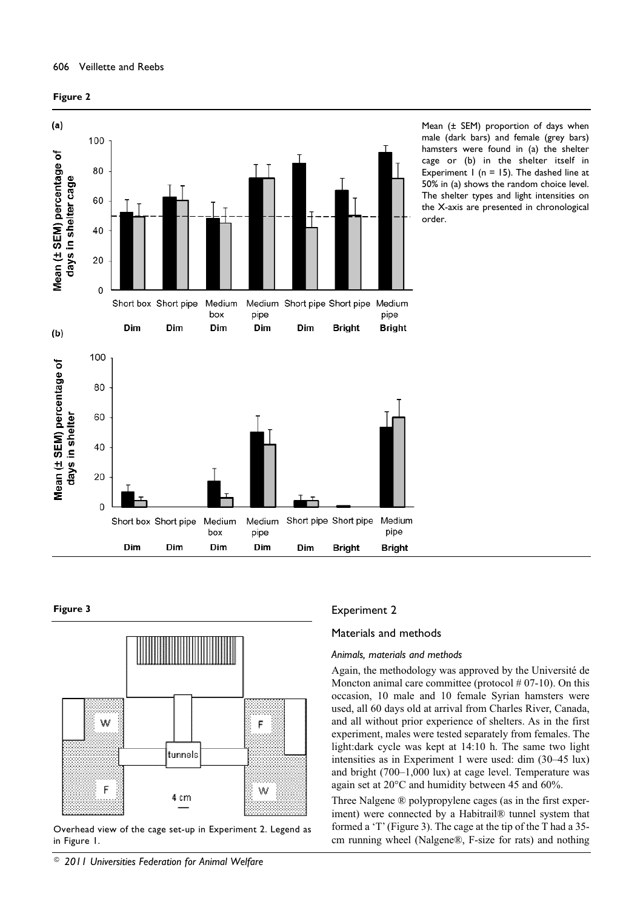



Mean (± SEM) proportion of days when male (dark bars) and female (grey bars) hamsters were found in (a) the shelter cage or (b) in the shelter itself in Experiment  $1$  (n = 15). The dashed line at 50% in (a) shows the random choice level. The shelter types and light intensities on the X-axis are presented in chronological order.

#### **Figure 3**



Overhead view of the cage set-up in Experiment 2. Legend as in Figure 1.

### *© 2011 Universities Federation for Animal Welfare*

#### Experiment 2

#### Materials and methods

#### *Animals, materials and methods*

Again, the methodology was approved by the Université de Moncton animal care committee (protocol  $#07-10$ ). On this occasion, 10 male and 10 female Syrian hamsters were used, all 60 days old at arrival from Charles River, Canada, and all without prior experience of shelters. As in the first experiment, males were tested separately from females. The light:dark cycle was kept at 14:10 h. The same two light intensities as in Experiment 1 were used: dim (30–45 lux) and bright (700–1,000 lux) at cage level. Temperature was again set at 20°C and humidity between 45 and 60%.

Three Nalgene ® polypropylene cages (as in the first experiment) were connected by a Habitrail® tunnel system that formed a 'T' (Figure 3). The cage at the tip of the T had a 35 cm running wheel (Nalgene®, F-size for rats) and nothing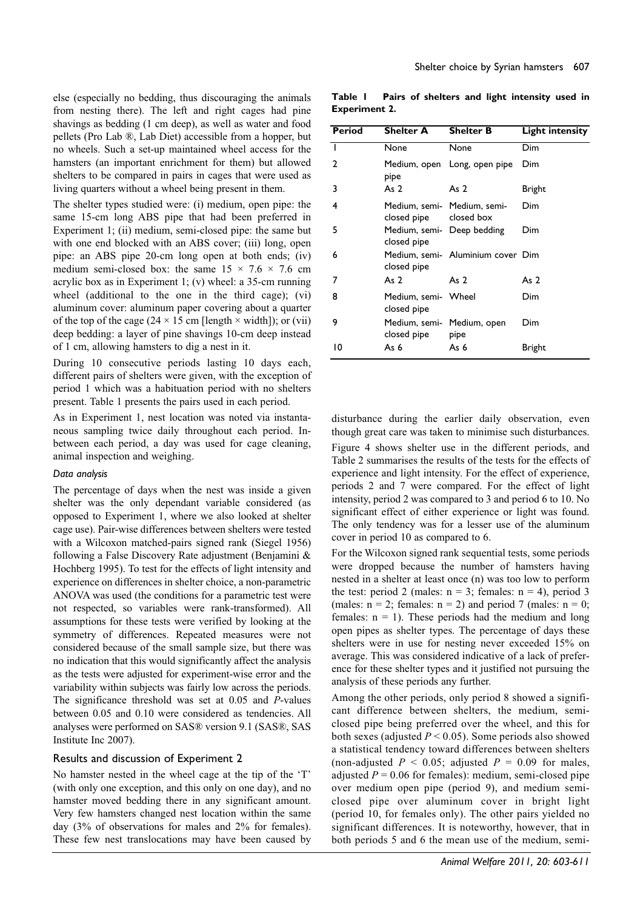else (especially no bedding, thus discouraging the animals from nesting there). The left and right cages had pine shavings as bedding (1 cm deep), as well as water and food pellets (Pro Lab ®, Lab Diet) accessible from a hopper, but no wheels. Such a set-up maintained wheel access for the hamsters (an important enrichment for them) but allowed shelters to be compared in pairs in cages that were used as living quarters without a wheel being present in them.

The shelter types studied were: (i) medium, open pipe: the same 15-cm long ABS pipe that had been preferred in Experiment 1; (ii) medium, semi-closed pipe: the same but with one end blocked with an ABS cover; (iii) long, open pipe: an ABS pipe 20-cm long open at both ends; (iv) medium semi-closed box: the same  $15 \times 7.6 \times 7.6$  cm acrylic box as in Experiment 1; (v) wheel: a 35-cm running wheel (additional to the one in the third cage); (vi) aluminum cover: aluminum paper covering about a quarter of the top of the cage (24  $\times$  15 cm [length  $\times$  width]); or (vii) deep bedding: a layer of pine shavings 10-cm deep instead of 1 cm, allowing hamsters to dig a nest in it.

During 10 consecutive periods lasting 10 days each, different pairs of shelters were given, with the exception of period 1 which was a habituation period with no shelters present. Table 1 presents the pairs used in each period.

As in Experiment 1, nest location was noted via instantaneous sampling twice daily throughout each period. Inbetween each period, a day was used for cage cleaning, animal inspection and weighing.

#### *Data analysis*

The percentage of days when the nest was inside a given shelter was the only dependant variable considered (as opposed to Experiment 1, where we also looked at shelter cage use). Pair-wise differences between shelters were tested with a Wilcoxon matched-pairs signed rank (Siegel 1956) following a False Discovery Rate adjustment (Benjamini & Hochberg 1995). To test for the effects of light intensity and experience on differences in shelter choice, a non-parametric ANOVA was used (the conditions for a parametric test were not respected, so variables were rank-transformed). All assumptions for these tests were verified by looking at the symmetry of differences. Repeated measures were not considered because of the small sample size, but there was no indication that this would significantly affect the analysis as the tests were adjusted for experiment-wise error and the variability within subjects was fairly low across the periods. The significance threshold was set at 0.05 and *P*-values between 0.05 and 0.10 were considered as tendencies. All analyses were performed on SAS® version 9.1 (SAS®, SAS Institute Inc 2007).

#### Results and discussion of Experiment 2

No hamster nested in the wheel cage at the tip of the 'T' (with only one exception, and this only on one day), and no hamster moved bedding there in any significant amount. Very few hamsters changed nest location within the same day (3% of observations for males and 2% for females). These few nest translocations may have been caused by

**Table 1 Pairs of shelters and light intensity used in Experiment 2.**

| Period | <b>Shelter A</b>                          | <b>Shelter B</b>                  | <b>Light intensity</b> |
|--------|-------------------------------------------|-----------------------------------|------------------------|
| I      | None                                      | None                              | Dim                    |
| 2      | pipe                                      | Medium, open Long, open pipe      | Dim                    |
| 3      | As $2$                                    | As 2                              | Bright                 |
| 4      | closed pipe closed box                    | Medium, semi- Medium, semi-       | Dim                    |
| 5      | Medium, semi- Deep bedding<br>closed pipe |                                   | Dim                    |
| 6      | closed pipe                               | Medium, semi- Aluminium cover Dim |                        |
| 7      | As $2$                                    | As 2                              | As 2                   |
| 8      | Medium, semi- Wheel<br>closed pipe        |                                   | Dim                    |
| 9      | Medium, semi- Medium, open<br>closed pipe | pipe                              | Dim                    |
| 10     | As 6                                      | As 6                              | Bright                 |

disturbance during the earlier daily observation, even though great care was taken to minimise such disturbances. Figure 4 shows shelter use in the different periods, and Table 2 summarises the results of the tests for the effects of experience and light intensity. For the effect of experience, periods 2 and 7 were compared. For the effect of light intensity, period 2 was compared to 3 and period 6 to 10. No significant effect of either experience or light was found. The only tendency was for a lesser use of the aluminum cover in period 10 as compared to 6.

For the Wilcoxon signed rank sequential tests, some periods were dropped because the number of hamsters having nested in a shelter at least once (n) was too low to perform the test: period 2 (males:  $n = 3$ ; females:  $n = 4$ ), period 3 (males:  $n = 2$ ; females:  $n = 2$ ) and period 7 (males:  $n = 0$ ; females:  $n = 1$ ). These periods had the medium and long open pipes as shelter types. The percentage of days these shelters were in use for nesting never exceeded 15% on average. This was considered indicative of a lack of preference for these shelter types and it justified not pursuing the analysis of these periods any further.

Among the other periods, only period 8 showed a significant difference between shelters, the medium, semiclosed pipe being preferred over the wheel, and this for both sexes (adjusted *P* < 0.05). Some periods also showed a statistical tendency toward differences between shelters (non-adjusted  $P < 0.05$ ; adjusted  $P = 0.09$  for males, adjusted  $P = 0.06$  for females): medium, semi-closed pipe over medium open pipe (period 9), and medium semiclosed pipe over aluminum cover in bright light (period 10, for females only). The other pairs yielded no significant differences. It is noteworthy, however, that in both periods 5 and 6 the mean use of the medium, semi-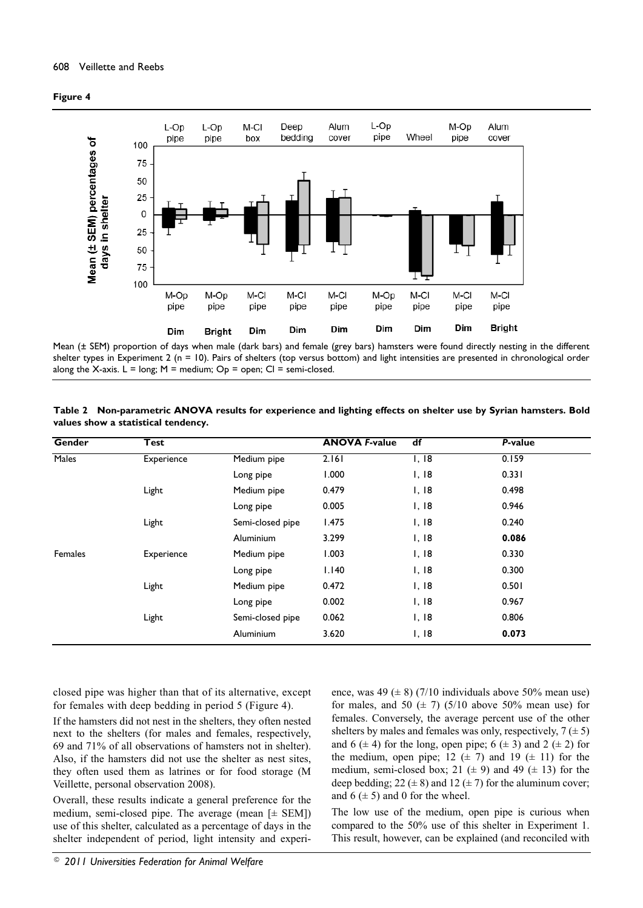



Mean (± SEM) proportion of days when male (dark bars) and female (grey bars) hamsters were found directly nesting in the different shelter types in Experiment 2 (n = 10). Pairs of shelters (top versus bottom) and light intensities are presented in chronological order along the X-axis.  $L = long$ ;  $M = medium$ ;  $Op = open$ ;  $Cl = semi-closed$ .

| Table 2 Non-parametric ANOVA results for experience and lighting effects on shelter use by Syrian hamsters. Bold |  |  |  |
|------------------------------------------------------------------------------------------------------------------|--|--|--|
| values show a statistical tendency.                                                                              |  |  |  |

| <b>Gender</b> | <b>Test</b> |                  | <b>ANOVA F-value</b> | df                | P-value |  |
|---------------|-------------|------------------|----------------------|-------------------|---------|--|
| <b>Males</b>  | Experience  | Medium pipe      | 2.161                | $\overline{1,18}$ | 0.159   |  |
|               |             | Long pipe        | 1.000                | 1,18              | 0.331   |  |
|               | Light       | Medium pipe      | 0.479                | 1,18              | 0.498   |  |
|               |             | Long pipe        | 0.005                | I, I8             | 0.946   |  |
|               | Light       | Semi-closed pipe | 1.475                | 1,18              | 0.240   |  |
|               |             | Aluminium        | 3.299                | I, I8             | 0.086   |  |
| Females       | Experience  | Medium pipe      | 1.003                | 1,18              | 0.330   |  |
|               |             | Long pipe        | 1.140                | I, I8             | 0.300   |  |
|               | Light       | Medium pipe      | 0.472                | I, I8             | 0.501   |  |
|               |             | Long pipe        | 0.002                | I, I8             | 0.967   |  |
|               | Light       | Semi-closed pipe | 0.062                | I, I8             | 0.806   |  |
|               |             | Aluminium        | 3.620                | I, I8             | 0.073   |  |

closed pipe was higher than that of its alternative, except for females with deep bedding in period 5 (Figure 4).

If the hamsters did not nest in the shelters, they often nested next to the shelters (for males and females, respectively, 69 and 71% of all observations of hamsters not in shelter). Also, if the hamsters did not use the shelter as nest sites, they often used them as latrines or for food storage (M Veillette, personal observation 2008).

Overall, these results indicate a general preference for the medium, semi-closed pipe. The average (mean  $[\pm$  SEM]) use of this shelter, calculated as a percentage of days in the shelter independent of period, light intensity and experience, was 49 ( $\pm$  8) (7/10 individuals above 50% mean use) for males, and 50  $(\pm 7)$  (5/10 above 50% mean use) for females. Conversely, the average percent use of the other shelters by males and females was only, respectively,  $7 (\pm 5)$ and 6  $(\pm 4)$  for the long, open pipe; 6  $(\pm 3)$  and 2  $(\pm 2)$  for the medium, open pipe;  $12 \ (\pm 7)$  and  $19 \ (\pm 11)$  for the medium, semi-closed box; 21 ( $\pm$  9) and 49 ( $\pm$  13) for the deep bedding; 22 ( $\pm$  8) and 12 ( $\pm$  7) for the aluminum cover; and  $6 \neq 5$  and 0 for the wheel.

The low use of the medium, open pipe is curious when compared to the 50% use of this shelter in Experiment 1. This result, however, can be explained (and reconciled with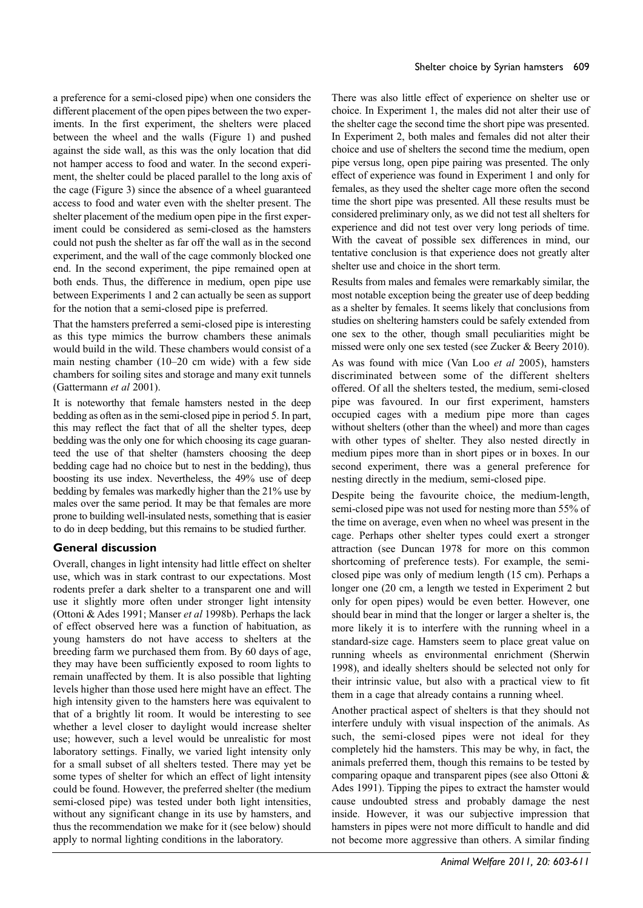a preference for a semi-closed pipe) when one considers the different placement of the open pipes between the two experiments. In the first experiment, the shelters were placed between the wheel and the walls (Figure 1) and pushed against the side wall, as this was the only location that did not hamper access to food and water. In the second experiment, the shelter could be placed parallel to the long axis of the cage (Figure 3) since the absence of a wheel guaranteed access to food and water even with the shelter present. The shelter placement of the medium open pipe in the first experiment could be considered as semi-closed as the hamsters could not push the shelter as far off the wall as in the second experiment, and the wall of the cage commonly blocked one end. In the second experiment, the pipe remained open at both ends. Thus, the difference in medium, open pipe use between Experiments 1 and 2 can actually be seen as support for the notion that a semi-closed pipe is preferred.

That the hamsters preferred a semi-closed pipe is interesting as this type mimics the burrow chambers these animals would build in the wild. These chambers would consist of a main nesting chamber (10–20 cm wide) with a few side chambers for soiling sites and storage and many exit tunnels (Gattermann *et al* 2001).

It is noteworthy that female hamsters nested in the deep bedding as often as in the semi-closed pipe in period 5. In part, this may reflect the fact that of all the shelter types, deep bedding was the only one for which choosing its cage guaranteed the use of that shelter (hamsters choosing the deep bedding cage had no choice but to nest in the bedding), thus boosting its use index. Nevertheless, the 49% use of deep bedding by females was markedly higher than the 21% use by males over the same period. It may be that females are more prone to building well-insulated nests, something that is easier to do in deep bedding, but this remains to be studied further.

# **General discussion**

Overall, changes in light intensity had little effect on shelter use, which was in stark contrast to our expectations. Most rodents prefer a dark shelter to a transparent one and will use it slightly more often under stronger light intensity (Ottoni & Ades 1991; Manser *et al* 1998b). Perhaps the lack of effect observed here was a function of habituation, as young hamsters do not have access to shelters at the breeding farm we purchased them from. By 60 days of age, they may have been sufficiently exposed to room lights to remain unaffected by them. It is also possible that lighting levels higher than those used here might have an effect. The high intensity given to the hamsters here was equivalent to that of a brightly lit room. It would be interesting to see whether a level closer to daylight would increase shelter use; however, such a level would be unrealistic for most laboratory settings. Finally, we varied light intensity only for a small subset of all shelters tested. There may yet be some types of shelter for which an effect of light intensity could be found. However, the preferred shelter (the medium semi-closed pipe) was tested under both light intensities, without any significant change in its use by hamsters, and thus the recommendation we make for it (see below) should apply to normal lighting conditions in the laboratory.

There was also little effect of experience on shelter use or choice. In Experiment 1, the males did not alter their use of the shelter cage the second time the short pipe was presented. In Experiment 2, both males and females did not alter their choice and use of shelters the second time the medium, open pipe versus long, open pipe pairing was presented. The only effect of experience was found in Experiment 1 and only for females, as they used the shelter cage more often the second time the short pipe was presented. All these results must be considered preliminary only, as we did not test all shelters for experience and did not test over very long periods of time. With the caveat of possible sex differences in mind, our tentative conclusion is that experience does not greatly alter shelter use and choice in the short term.

Results from males and females were remarkably similar, the most notable exception being the greater use of deep bedding as a shelter by females. It seems likely that conclusions from studies on sheltering hamsters could be safely extended from one sex to the other, though small peculiarities might be missed were only one sex tested (see Zucker & Beery 2010).

As was found with mice (Van Loo *et al* 2005), hamsters discriminated between some of the different shelters offered. Of all the shelters tested, the medium, semi-closed pipe was favoured. In our first experiment, hamsters occupied cages with a medium pipe more than cages without shelters (other than the wheel) and more than cages with other types of shelter. They also nested directly in medium pipes more than in short pipes or in boxes. In our second experiment, there was a general preference for nesting directly in the medium, semi-closed pipe.

Despite being the favourite choice, the medium-length, semi-closed pipe was not used for nesting more than 55% of the time on average, even when no wheel was present in the cage. Perhaps other shelter types could exert a stronger attraction (see Duncan 1978 for more on this common shortcoming of preference tests). For example, the semiclosed pipe was only of medium length (15 cm). Perhaps a longer one (20 cm, a length we tested in Experiment 2 but only for open pipes) would be even better. However, one should bear in mind that the longer or larger a shelter is, the more likely it is to interfere with the running wheel in a standard-size cage. Hamsters seem to place great value on running wheels as environmental enrichment (Sherwin 1998), and ideally shelters should be selected not only for their intrinsic value, but also with a practical view to fit them in a cage that already contains a running wheel.

Another practical aspect of shelters is that they should not interfere unduly with visual inspection of the animals. As such, the semi-closed pipes were not ideal for they completely hid the hamsters. This may be why, in fact, the animals preferred them, though this remains to be tested by comparing opaque and transparent pipes (see also Ottoni & Ades 1991). Tipping the pipes to extract the hamster would cause undoubted stress and probably damage the nest inside. However, it was our subjective impression that hamsters in pipes were not more difficult to handle and did not become more aggressive than others. A similar finding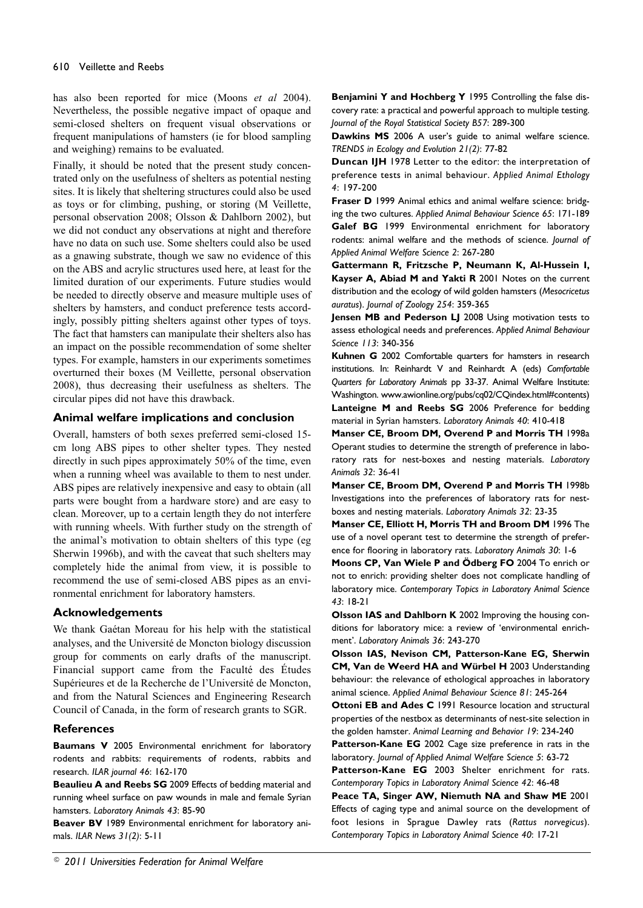has also been reported for mice (Moons *et al* 2004). Nevertheless, the possible negative impact of opaque and semi-closed shelters on frequent visual observations or frequent manipulations of hamsters (ie for blood sampling and weighing) remains to be evaluated.

Finally, it should be noted that the present study concentrated only on the usefulness of shelters as potential nesting sites. It is likely that sheltering structures could also be used as toys or for climbing, pushing, or storing (M Veillette, personal observation 2008; Olsson & Dahlborn 2002), but we did not conduct any observations at night and therefore have no data on such use. Some shelters could also be used as a gnawing substrate, though we saw no evidence of this on the ABS and acrylic structures used here, at least for the limited duration of our experiments. Future studies would be needed to directly observe and measure multiple uses of shelters by hamsters, and conduct preference tests accordingly, possibly pitting shelters against other types of toys. The fact that hamsters can manipulate their shelters also has an impact on the possible recommendation of some shelter types. For example, hamsters in our experiments sometimes overturned their boxes (M Veillette, personal observation 2008), thus decreasing their usefulness as shelters. The circular pipes did not have this drawback.

#### **Animal welfare implications and conclusion**

Overall, hamsters of both sexes preferred semi-closed 15 cm long ABS pipes to other shelter types. They nested directly in such pipes approximately 50% of the time, even when a running wheel was available to them to nest under. ABS pipes are relatively inexpensive and easy to obtain (all parts were bought from a hardware store) and are easy to clean. Moreover, up to a certain length they do not interfere with running wheels. With further study on the strength of the animal's motivation to obtain shelters of this type (eg Sherwin 1996b), and with the caveat that such shelters may completely hide the animal from view, it is possible to recommend the use of semi-closed ABS pipes as an environmental enrichment for laboratory hamsters.

# **Acknowledgements**

We thank Gaétan Moreau for his help with the statistical analyses, and the Université de Moncton biology discussion group for comments on early drafts of the manuscript. Financial support came from the Faculté des Études Supérieures et de la Recherche de l'Université de Moncton, and from the Natural Sciences and Engineering Research Council of Canada, in the form of research grants to SGR.

# **References**

**Baumans V** 2005 Environmental enrichment for laboratory rodents and rabbits: requirements of rodents, rabbits and research. *ILAR journal 46*: 162-170

**Beaulieu A and Reebs SG** 2009 Effects of bedding material and running wheel surface on paw wounds in male and female Syrian hamsters. *Laboratory Animals 43*: 85-90

**Beaver BV** 1989 Environmental enrichment for laboratory animals. *ILAR News 31(2)*: 5-11

**Benjamini Y and Hochberg Y** 1995 Controlling the false discovery rate: a practical and powerful approach to multiple testing. *Journal of the Royal Statistical Society B57*: 289-300

**Dawkins MS** 2006 A user's guide to animal welfare science. *TRENDS in Ecology and Evolution 21(2)*: 77-82

**Duncan IJH** 1978 Letter to the editor: the interpretation of preference tests in animal behaviour. *Applied Animal Ethology 4*: 197-200

**Fraser D** 1999 Animal ethics and animal welfare science: bridging the two cultures. *Applied Animal Behaviour Science 65*: 171-189 **Galef BG** 1999 Environmental enrichment for laboratory rodents: animal welfare and the methods of science. *Journal of Applied Animal Welfare Science 2*: 267-280

**Gattermann R, Fritzsche P, Neumann K, Al-Hussein I, Kayser A, Abiad M and Yakti R** 2001 Notes on the current distribution and the ecology of wild golden hamsters (*Mesocricetus auratus*). *Journal of Zoology 254*: 359-365

**Jensen MB and Pederson LJ** 2008 Using motivation tests to assess ethological needs and preferences. *Applied Animal Behaviour Science 113*: 340-356

**Kuhnen G** 2002 Comfortable quarters for hamsters in research institutions. In: Reinhardt V and Reinhardt A (eds) *Comfortable Quarters for Laboratory Animals* pp 33-37. Animal Welfare Institute: Washington. www.awionline.org/pubs/cq02/CQindex.html#contents) **Lanteigne M and Reebs SG** 2006 Preference for bedding material in Syrian hamsters. *Laboratory Animals 40*: 410-418

**Manser CE, Broom DM, Overend P and Morris TH** 1998a Operant studies to determine the strength of preference in laboratory rats for nest-boxes and nesting materials. *Laboratory Animals 32*: 36-41

**Manser CE, Broom DM, Overend P and Morris TH** 1998b Investigations into the preferences of laboratory rats for nestboxes and nesting materials. *Laboratory Animals 32*: 23-35

**Manser CE, Elliott H, Morris TH and Broom DM** 1996 The use of a novel operant test to determine the strength of preference for flooring in laboratory rats. *Laboratory Animals 30*: 1-6

**Moons CP, Van Wiele P and Ödberg FO** 2004 To enrich or not to enrich: providing shelter does not complicate handling of laboratory mice. *Contemporary Topics in Laboratory Animal Science 43*: 18-21

**Olsson IAS and Dahlborn K** 2002 Improving the housing conditions for laboratory mice: a review of 'environmental enrichment'. *Laboratory Animals 36*: 243-270

**Olsson IAS, Nevison CM, Patterson-Kane EG, Sherwin CM, Van de Weerd HA and Würbel H** 2003 Understanding behaviour: the relevance of ethological approaches in laboratory animal science. *Applied Animal Behaviour Science 81*: 245-264

**Ottoni EB and Ades C** 1991 Resource location and structural properties of the nestbox as determinants of nest-site selection in the golden hamster. *Animal Learning and Behavior 19*: 234-240

**Patterson-Kane EG** 2002 Cage size preference in rats in the laboratory. *Journal of Applied Animal Welfare Science 5*: 63-72

**Patterson-Kane EG** 2003 Shelter enrichment for rats. *Contemporary Topics in Laboratory Animal Science 42*: 46-48

**Peace TA, Singer AW, Niemuth NA and Shaw ME** 2001 Effects of caging type and animal source on the development of foot lesions in Sprague Dawley rats (*Rattus norvegicus*). *Contemporary Topics in Laboratory Animal Science 40*: 17-21